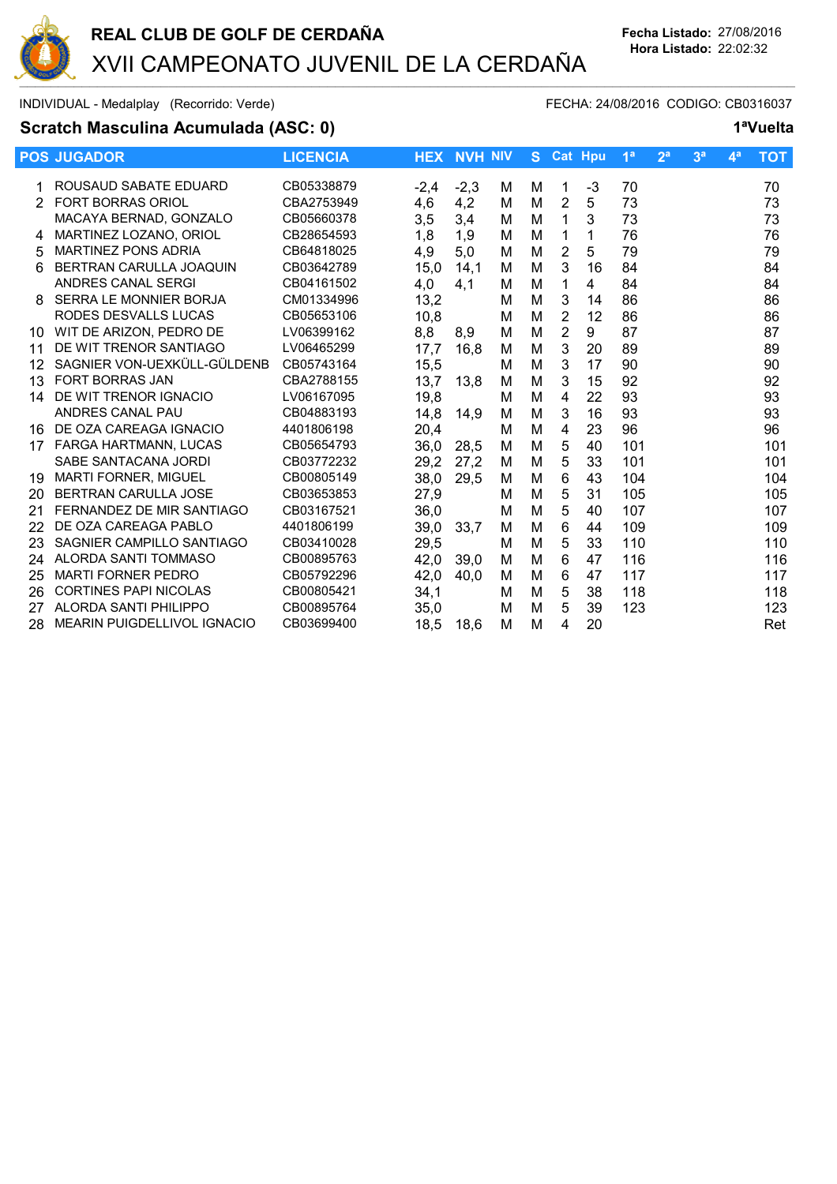

### **Scratch Masculina Acumulada (ASC: 0) 1ªVuelta**

|    | <b>POS JUGADOR</b>                 | <b>LICENCIA</b> |        | <b>HEX NVH NIV</b> |   | S. |                | <b>Cat Hpu</b> | 1 <sup>a</sup> | 2 <sup>a</sup> | 3 <sup>a</sup> | 4 <sup>a</sup> | <b>TOT</b> |
|----|------------------------------------|-----------------|--------|--------------------|---|----|----------------|----------------|----------------|----------------|----------------|----------------|------------|
|    | ROUSAUD SABATE EDUARD              | CB05338879      | $-2.4$ | $-2,3$             | м | м  | 1              | -3             | 70             |                |                |                | 70         |
| 2  | <b>FORT BORRAS ORIOL</b>           | CBA2753949      | 4,6    | 4,2                | м | М  | 2              | 5              | 73             |                |                |                | 73         |
|    | MACAYA BERNAD, GONZALO             | CB05660378      | 3,5    | 3,4                | м | M  | 1              | 3              | 73             |                |                |                | 73         |
| 4  | MARTINEZ LOZANO, ORIOL             | CB28654593      | 1,8    | 1,9                | м | M  | 1              | 1              | 76             |                |                |                | 76         |
| 5  | <b>MARTINEZ PONS ADRIA</b>         | CB64818025      | 4,9    | 5,0                | м | M  | $\overline{2}$ | 5              | 79             |                |                |                | 79         |
| 6  | BERTRAN CARULLA JOAQUIN            | CB03642789      | 15,0   | 14,1               | м | M  | 3              | 16             | 84             |                |                |                | 84         |
|    | ANDRES CANAL SERGI                 | CB04161502      | 4,0    | 4,1                | М | M  | 1              | 4              | 84             |                |                |                | 84         |
| 8  | SERRA LE MONNIER BORJA             | CM01334996      | 13,2   |                    | м | M  | 3              | 14             | 86             |                |                |                | 86         |
|    | RODES DESVALLS LUCAS               | CB05653106      | 10,8   |                    | м | M  | $\overline{2}$ | 12             | 86             |                |                |                | 86         |
| 10 | WIT DE ARIZON, PEDRO DE            | LV06399162      | 8,8    | 8,9                | м | M  | 2              | 9              | 87             |                |                |                | 87         |
| 11 | DE WIT TRENOR SANTIAGO             | LV06465299      | 17,7   | 16,8               | м | M  | 3              | 20             | 89             |                |                |                | 89         |
| 12 | SAGNIER VON-UEXKÜLL-GÜLDENB        | CB05743164      | 15,5   |                    | м | M  | 3              | 17             | 90             |                |                |                | 90         |
| 13 | <b>FORT BORRAS JAN</b>             | CBA2788155      | 13,7   | 13.8               | м | M  | 3              | 15             | 92             |                |                |                | 92         |
| 14 | DE WIT TRENOR IGNACIO              | LV06167095      | 19,8   |                    | M | M  | 4              | 22             | 93             |                |                |                | 93         |
|    | ANDRES CANAL PAU                   | CB04883193      | 14,8   | 14,9               | M | M  | 3              | 16             | 93             |                |                |                | 93         |
| 16 | DE OZA CAREAGA IGNACIO             | 4401806198      | 20,4   |                    | M | M  | 4              | 23             | 96             |                |                |                | 96         |
| 17 | FARGA HARTMANN, LUCAS              | CB05654793      | 36,0   | 28.5               | M | М  | 5              | 40             | 101            |                |                |                | 101        |
|    | SABE SANTACANA JORDI               | CB03772232      | 29,2   | 27.2               | M | M  | 5              | 33             | 101            |                |                |                | 101        |
| 19 | <b>MARTI FORNER, MIGUEL</b>        | CB00805149      | 38,0   | 29,5               | м | M  | 6              | 43             | 104            |                |                |                | 104        |
| 20 | <b>BERTRAN CARULLA JOSE</b>        | CB03653853      | 27,9   |                    | м | M  | 5              | 31             | 105            |                |                |                | 105        |
| 21 | FERNANDEZ DE MIR SANTIAGO          | CB03167521      | 36,0   |                    | M | M  | 5              | 40             | 107            |                |                |                | 107        |
| 22 | DE OZA CAREAGA PABLO               | 4401806199      | 39,0   | 33,7               | M | М  | 6              | 44             | 109            |                |                |                | 109        |
| 23 | SAGNIER CAMPILLO SANTIAGO          | CB03410028      | 29,5   |                    | м | M  | 5              | 33             | 110            |                |                |                | 110        |
| 24 | ALORDA SANTI TOMMASO               | CB00895763      | 42,0   | 39,0               | M | M  | 6              | 47             | 116            |                |                |                | 116        |
| 25 | <b>MARTI FORNER PEDRO</b>          | CB05792296      | 42,0   | 40,0               | м | M  | 6              | 47             | 117            |                |                |                | 117        |
| 26 | <b>CORTINES PAPI NICOLAS</b>       | CB00805421      | 34,1   |                    | M | М  | 5              | 38             | 118            |                |                |                | 118        |
| 27 | ALORDA SANTI PHILIPPO              | CB00895764      | 35,0   |                    | м | M  | 5              | 39             | 123            |                |                |                | 123        |
| 28 | <b>MEARIN PUIGDELLIVOL IGNACIO</b> | CB03699400      | 18,5   | 18,6               | М | M  | 4              | 20             |                |                |                |                | Ret        |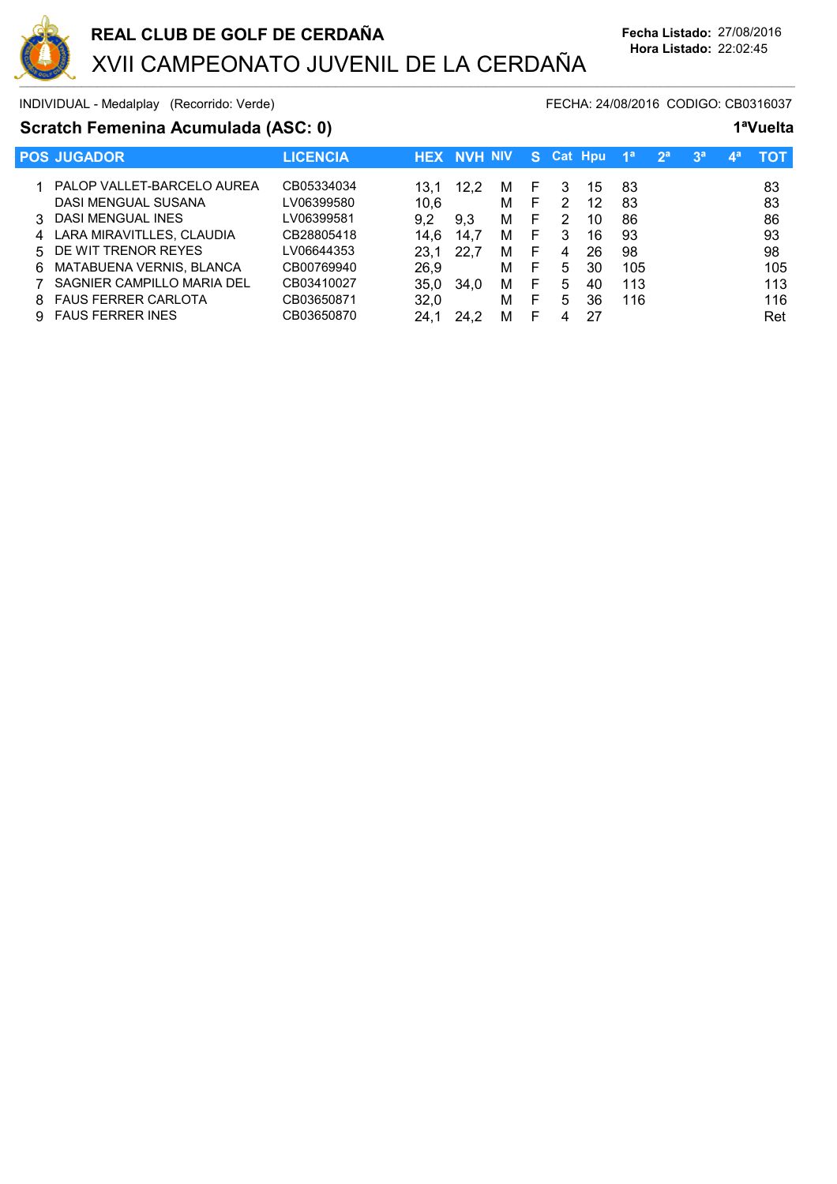

# **Scratch Femenina Acumulada (ASC: 0) 1ªVuelta**

|    | <b>POS JUGADOR</b>          | <b>LICENCIA</b> |      | <b>HEX NVH NIV</b> |   |    |   | S Cat Hpu | 4a  | 2 <sup>a</sup> | 3 <sup>a</sup> | $\mathbf{A}$ | тот |
|----|-----------------------------|-----------------|------|--------------------|---|----|---|-----------|-----|----------------|----------------|--------------|-----|
|    | PALOP VALLET-BARCELO AUREA  | CB05334034      | 13.1 | 12.2               | M | F  | 3 | 15        | 83  |                |                |              | 83  |
|    | DASI MENGUAL SUSANA         | LV06399580      | 10.6 |                    | м | F  | 2 | 12        | 83  |                |                |              | 83  |
| 3  | DASI MENGUAL INES           | LV06399581      | 9.2  | 9.3                | м | F  | 2 | 10        | 86  |                |                |              | 86  |
|    | 4 LARA MIRAVITLLES, CLAUDIA | CB28805418      | 14.6 | 14.7               | M | F. | 3 | 16        | 93  |                |                |              | 93  |
|    | 5 DE WIT TRENOR REYES       | LV06644353      | 23.1 |                    | м | F  | 4 | 26        | 98  |                |                |              | 98  |
| 6. | MATABUENA VERNIS, BLANCA    | CB00769940      | 26,9 |                    | м | F  | 5 | 30        | 105 |                |                |              | 105 |
|    | SAGNIER CAMPILLO MARIA DEL  | CB03410027      | 35.0 | 34.0               | M | F  | 5 | 40        | 113 |                |                |              | 113 |
| 8. | <b>FAUS FERRER CARLOTA</b>  | CB03650871      | 32.0 |                    | м | F  | 5 | 36        | 116 |                |                |              | 116 |
|    | <b>FAUS FERRER INES</b>     | CB03650870      | 24.  | 24.2               | м | F  |   | 27        |     |                |                |              | Ret |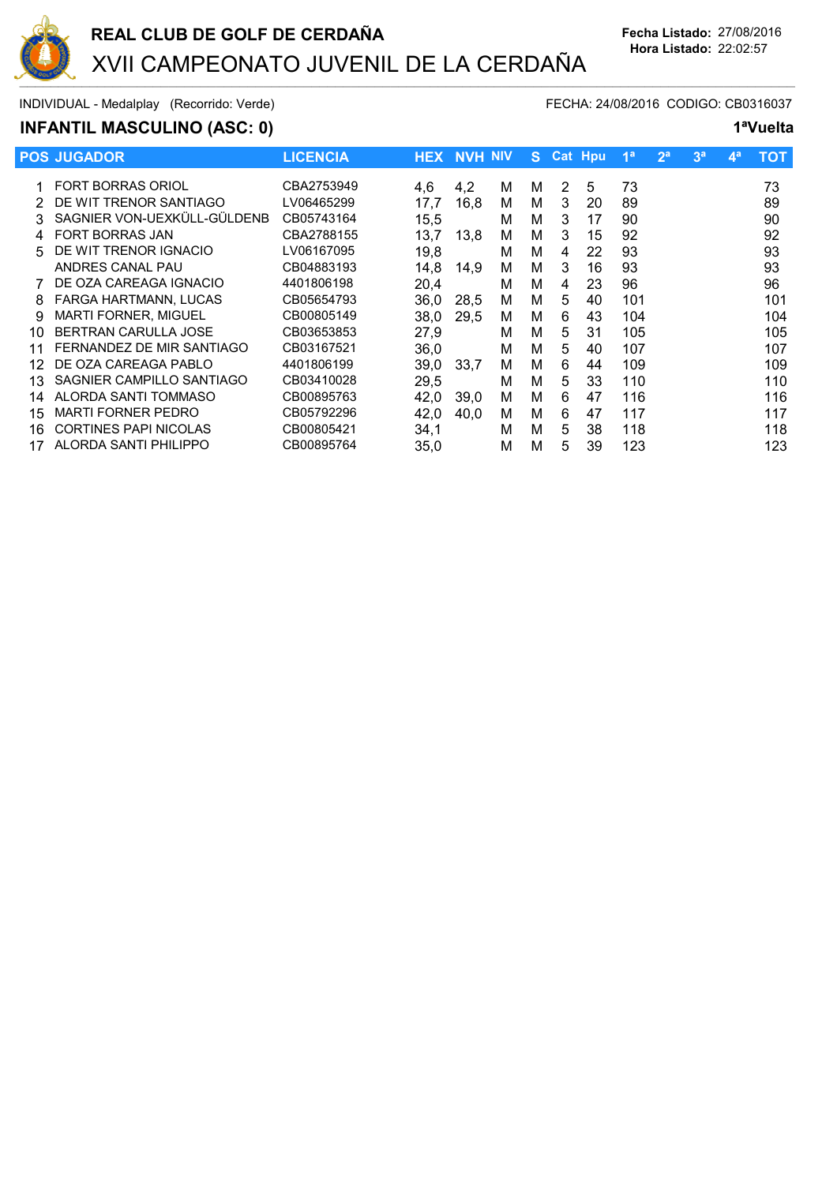

# **INFANTIL MASCULINO (ASC: 0) 1ªVuelta**

|    | <b>POS JUGADOR</b>           | <b>LICENCIA</b> |      | <b>HEX NVH NIV</b> |   |   |    | S Cat Hpu | 1 <sup>a</sup> | 2 <sup>a</sup> | 3 <sup>a</sup> | $\mathbf{4}^{\mathbf{a}}$ | тот |
|----|------------------------------|-----------------|------|--------------------|---|---|----|-----------|----------------|----------------|----------------|---------------------------|-----|
|    | <b>FORT BORRAS ORIOL</b>     | CBA2753949      | 4,6  | 4.2                | М | М | 2  | 5         | 73             |                |                |                           | 73  |
|    | DE WIT TRENOR SANTIAGO       | LV06465299      | 17,7 | 16,8               | м | м | 3  | 20        | 89             |                |                |                           | 89  |
|    | SAGNIER VON-UEXKÜLL-GÜLDENB  | CB05743164      | 15,5 |                    | м | м | 3  | 17        | 90             |                |                |                           | 90  |
|    | <b>FORT BORRAS JAN</b>       | CBA2788155      | 13,7 | 13,8               | м | М | 3  | 15        | 92             |                |                |                           | 92  |
| 5  | DE WIT TRENOR IGNACIO        | LV06167095      | 19,8 |                    | М | М | 4  | 22        | 93             |                |                |                           | 93  |
|    | ANDRES CANAL PAU             | CB04883193      | 14.8 | 14,9               | м | м | 3  | 16        | 93             |                |                |                           | 93  |
|    | DE OZA CAREAGA IGNACIO       | 4401806198      | 20,4 |                    | М | М | 4  | 23        | 96             |                |                |                           | 96  |
| 8  | FARGA HARTMANN, LUCAS        | CB05654793      | 36.0 | 28.5               | м | М | 5  | 40        | 101            |                |                |                           | 101 |
| 9  | MARTI FORNER, MIGUEL         | CB00805149      | 38.0 | 29.5               | м | м | 6  | 43        | 104            |                |                |                           | 104 |
| 10 | <b>BERTRAN CARULLA JOSE</b>  | CB03653853      | 27,9 |                    | М | м | 5  | 31        | 105            |                |                |                           | 105 |
| 11 | FERNANDEZ DE MIR SANTIAGO    | CB03167521      | 36,0 |                    | м | м | 5. | 40        | 107            |                |                |                           | 107 |
| 12 | DE OZA CAREAGA PABLO         | 4401806199      | 39,0 | 33,7               | м | м | 6  | 44        | 109            |                |                |                           | 109 |
| 13 | SAGNIER CAMPILLO SANTIAGO    | CB03410028      | 29,5 |                    | М | М | 5  | 33        | 110            |                |                |                           | 110 |
| 14 | ALORDA SANTI TOMMASO         | CB00895763      | 42,0 | 39.0               | м | м | 6  | 47        | 116            |                |                |                           | 116 |
| 15 | <b>MARTI FORNER PEDRO</b>    | CB05792296      | 42,0 | 40,0               | м | м | 6  | 47        | 117            |                |                |                           | 117 |
| 16 | <b>CORTINES PAPI NICOLAS</b> | CB00805421      | 34,1 |                    | М | м | 5. | 38        | 118            |                |                |                           | 118 |
| 17 | ALORDA SANTI PHILIPPO        | CB00895764      | 35,0 |                    | М | М | 5  | 39        | 123            |                |                |                           | 123 |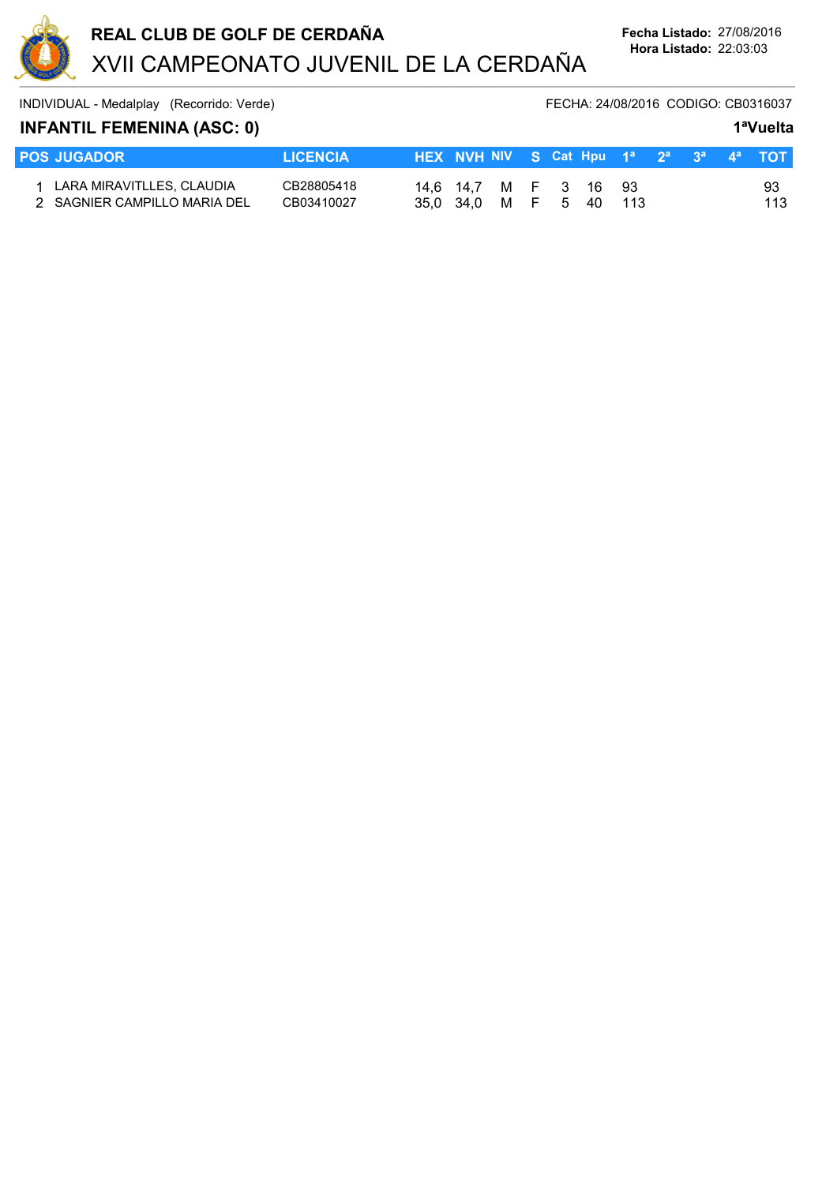

# **INFANTIL FEMENINA (ASC: 0) 1ªVuelta**

| <b>POS JUGADOR</b>                                          | <b>LICENCIA</b>          | HEX NVH NIV S Cat Hpu 1 <sup>a</sup> 2 <sup>a</sup> 3 <sup>a</sup> 4 <sup>a</sup> TOT |  |  |        |  |    |
|-------------------------------------------------------------|--------------------------|---------------------------------------------------------------------------------------|--|--|--------|--|----|
| 1 LARA MIRAVITLLES, CLAUDIA<br>2 SAGNIER CAMPILLO MARIA DEL | CB28805418<br>CB03410027 | 14,6 14,7 M F 3 16 93<br>35.0 34.0 M F 5                                              |  |  | 40 113 |  | 93 |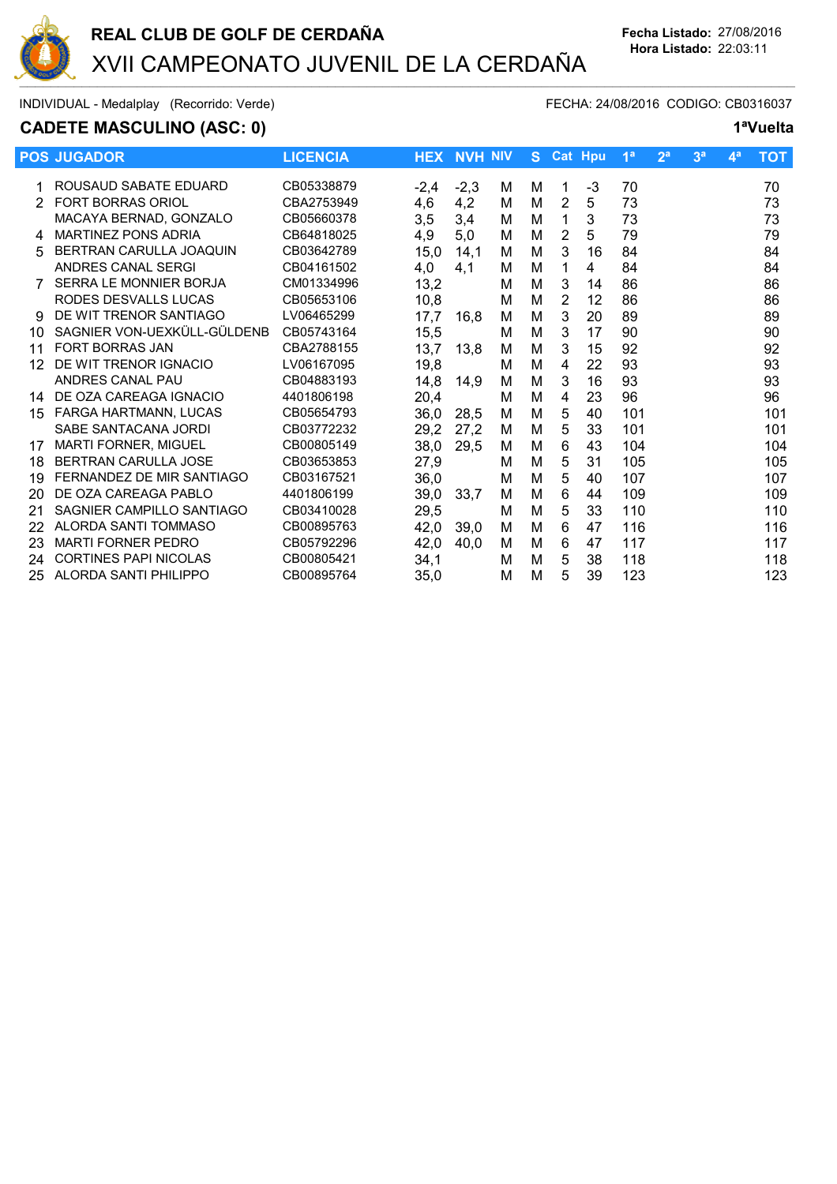

# **CADETE MASCULINO (ASC: 0) 1ªVuelta**

|    | <b>POS JUGADOR</b>           | <b>LICENCIA</b> |        | <b>HEX NVH NIV</b> |   | S. | <b>Cat Hpu</b> |    | 1 <sup>a</sup> | 2 <sup>a</sup> | 3 <sup>a</sup> | 4 <sup>a</sup> | <b>TOT</b> |
|----|------------------------------|-----------------|--------|--------------------|---|----|----------------|----|----------------|----------------|----------------|----------------|------------|
|    | ROUSAUD SABATE EDUARD        | CB05338879      | $-2,4$ | $-2,3$             | м | м  | 1              | -3 | 70             |                |                |                | 70         |
| 2  | <b>FORT BORRAS ORIOL</b>     | CBA2753949      | 4,6    | 4,2                | м | M  | $\overline{2}$ | 5  | 73             |                |                |                | 73         |
|    | MACAYA BERNAD, GONZALO       | CB05660378      | 3,5    | 3,4                | м | M  | 1              | 3  | 73             |                |                |                | 73         |
| 4  | <b>MARTINEZ PONS ADRIA</b>   | CB64818025      | 4,9    | 5,0                | м | M  | 2              | 5  | 79             |                |                |                | 79         |
| 5  | BERTRAN CARULLA JOAQUIN      | CB03642789      | 15,0   | 14,1               | M | M  | 3              | 16 | 84             |                |                |                | 84         |
|    | ANDRES CANAL SERGI           | CB04161502      | 4,0    | 4,1                | М | M  |                | 4  | 84             |                |                |                | 84         |
|    | SERRA LE MONNIER BORJA       | CM01334996      | 13,2   |                    | M | M  | 3              | 14 | 86             |                |                |                | 86         |
|    | RODES DESVALLS LUCAS         | CB05653106      | 10,8   |                    | М | M  | $\overline{2}$ | 12 | 86             |                |                |                | 86         |
| g  | DE WIT TRENOR SANTIAGO       | LV06465299      | 17,7   | 16,8               | М | M  | 3              | 20 | 89             |                |                |                | 89         |
| 10 | SAGNIER VON-UEXKÜLL-GÜLDENB  | CB05743164      | 15,5   |                    | М | M  | 3              | 17 | 90             |                |                |                | 90         |
| 11 | <b>FORT BORRAS JAN</b>       | CBA2788155      | 13,7   | 13,8               | М | M  | 3              | 15 | 92             |                |                |                | 92         |
| 12 | DE WIT TRENOR IGNACIO        | LV06167095      | 19,8   |                    | М | M  | 4              | 22 | 93             |                |                |                | 93         |
|    | ANDRES CANAL PAU             | CB04883193      | 14,8   | 14.9               | М | M  | 3              | 16 | 93             |                |                |                | 93         |
| 14 | DE OZA CAREAGA IGNACIO       | 4401806198      | 20,4   |                    | M | M  | 4              | 23 | 96             |                |                |                | 96         |
| 15 | FARGA HARTMANN, LUCAS        | CB05654793      | 36,0   | 28,5               | M | M  | 5              | 40 | 101            |                |                |                | 101        |
|    | SABE SANTACANA JORDI         | CB03772232      | 29,2   | 27,2               | м | M  | 5              | 33 | 101            |                |                |                | 101        |
| 17 | <b>MARTI FORNER, MIGUEL</b>  | CB00805149      | 38,0   | 29,5               | М | M  | 6              | 43 | 104            |                |                |                | 104        |
| 18 | <b>BERTRAN CARULLA JOSE</b>  | CB03653853      | 27,9   |                    | М | M  | 5              | 31 | 105            |                |                |                | 105        |
| 19 | FERNANDEZ DE MIR SANTIAGO    | CB03167521      | 36,0   |                    | М | M  | 5              | 40 | 107            |                |                |                | 107        |
| 20 | DE OZA CAREAGA PABLO         | 4401806199      | 39,0   | 33,7               | М | M  | 6              | 44 | 109            |                |                |                | 109        |
| 21 | SAGNIER CAMPILLO SANTIAGO    | CB03410028      | 29,5   |                    | М | M  | 5              | 33 | 110            |                |                |                | 110        |
| 22 | <b>ALORDA SANTI TOMMASO</b>  | CB00895763      | 42,0   | 39.0               | M | M  | 6              | 47 | 116            |                |                |                | 116        |
| 23 | <b>MARTI FORNER PEDRO</b>    | CB05792296      | 42,0   | 40,0               | М | M  | 6              | 47 | 117            |                |                |                | 117        |
| 24 | <b>CORTINES PAPI NICOLAS</b> | CB00805421      | 34,1   |                    | М | M  | 5              | 38 | 118            |                |                |                | 118        |
| 25 | ALORDA SANTI PHILIPPO        | CB00895764      | 35,0   |                    | М | М  | 5              | 39 | 123            |                |                |                | 123        |
|    |                              |                 |        |                    |   |    |                |    |                |                |                |                |            |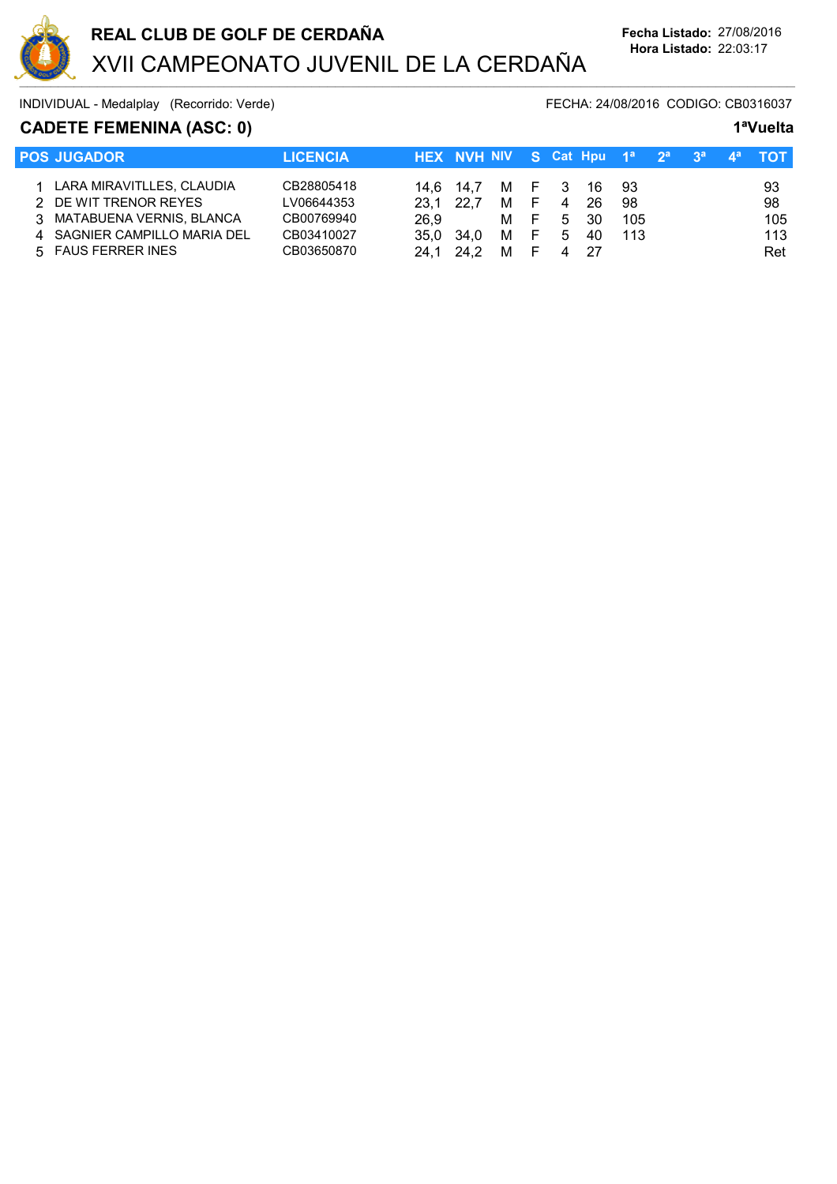

# **CADETE FEMENINA (ASC: 0) 1ªVuelta**

| <b>POS JUGADOR</b>           | <b>LICENCIA</b> |           | HEX NVH NIV S Cat Hpu 1 <sup>a</sup> 2 <sup>a</sup> |       |     |    |     |     | 3 <sup>a</sup> | ⊥⊿а |     |
|------------------------------|-----------------|-----------|-----------------------------------------------------|-------|-----|----|-----|-----|----------------|-----|-----|
| LARA MIRAVITLLES, CLAUDIA    | CB28805418      | 14.6 14.7 |                                                     | M F 3 |     |    | -16 | 93  |                |     | 93  |
| DE WIT TRENOR REYES          | LV06644353      | 23.1      | 22.7                                                | м     | - F | 4  | 26  | 98  |                |     | 98  |
| 3 MATABUENA VERNIS, BLANCA   | CB00769940      | 26.9      |                                                     | M F   |     | -5 | 30  | 105 |                |     | 105 |
| 4 SAGNIER CAMPILLO MARIA DEL | CB03410027      | 35.0      | 34.0                                                | м     | - F | 5  | 40  | 113 |                |     | 113 |
| 5 FAUS FERRER INES           | CB03650870      | 24 1      |                                                     | м     |     |    | -27 |     |                |     | Ret |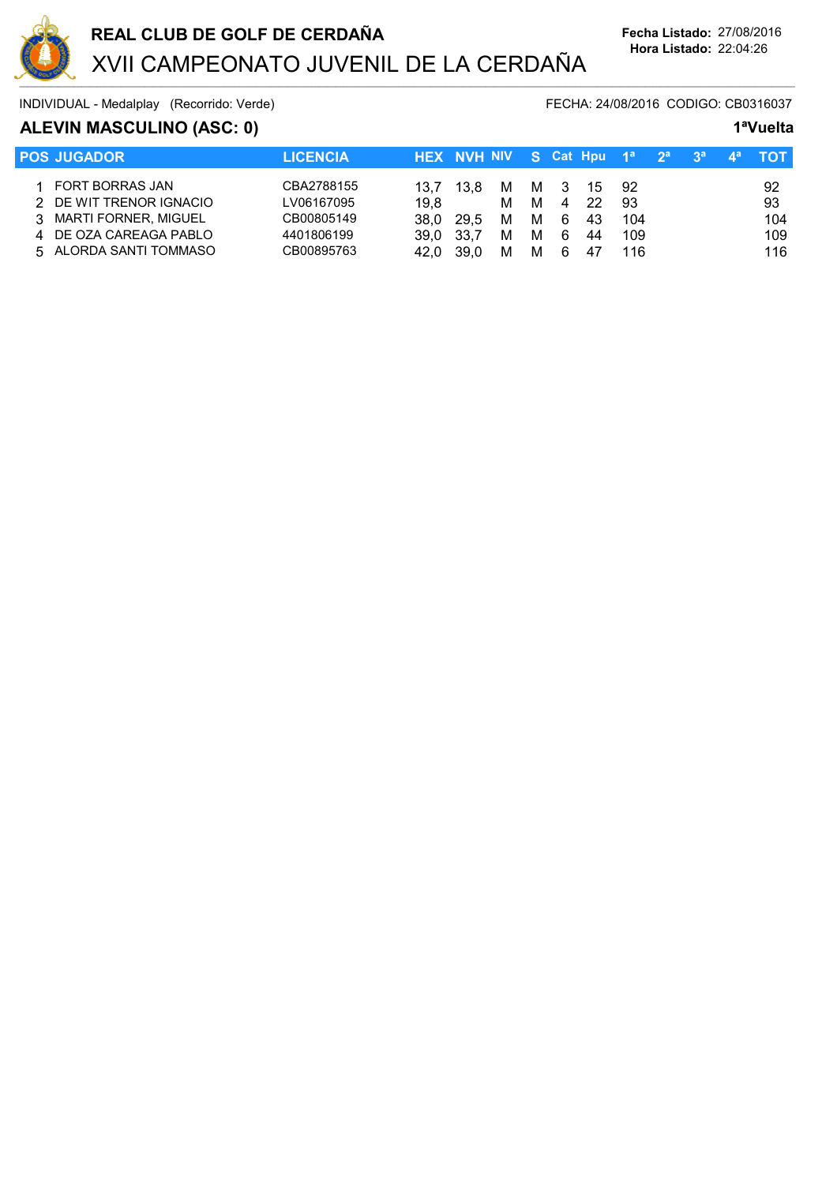

# **ALEVIN MASCULINO (ASC: 0) 1ªVuelta**

| <b>I POS JUGADOR</b>    | <b>LICENCIA</b> |      | HEX NVH NIV S Cat Hpu 1 <sup>a</sup> 2 <sup>a</sup> 3 <sup>a</sup> |   |   |     |     |     |  |     |
|-------------------------|-----------------|------|--------------------------------------------------------------------|---|---|-----|-----|-----|--|-----|
| FORT BORRAS JAN         | CBA2788155      | 13.7 | 13.8                                                               | M |   | M 3 | -15 | 92  |  | 92  |
| 2 DE WIT TRENOR IGNACIO | LV06167095      | 19.8 |                                                                    | м | M | 4   | -22 | 93  |  | 93  |
| 3 MARTI FORNER, MIGUEL  | CB00805149      | 38.0 | 29.5                                                               | M | M | - 6 | 43  | 104 |  | 104 |
| DE OZA CAREAGA PABLO    | 4401806199      | 39.0 | 33.7                                                               | М | м | -6  | 44  | 109 |  | 109 |
| 5 ALORDA SANTI TOMMASO  | CB00895763      | 42.0 | 39.0                                                               | м | M | -6  | 47  | 116 |  | 116 |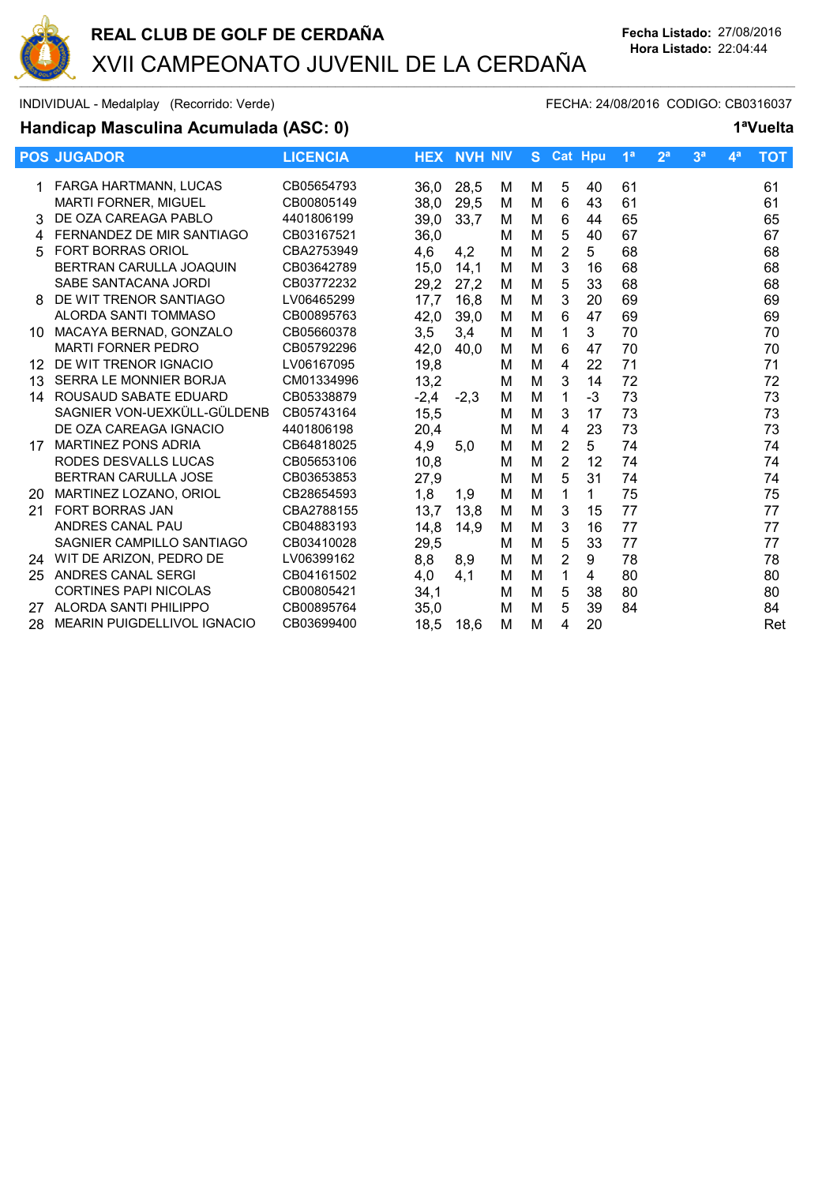

### **Handicap Masculina Acumulada (ASC: 0) 1ªVuelta**

|    | <b>POS JUGADOR</b>                 | <b>LICENCIA</b> |        | <b>HEX NVH NIV</b> |   | S. |                | <b>Cat Hpu</b> | 1 <sup>a</sup> | 2 <sup>a</sup> | 3 <sup>a</sup> | 4 <sup>a</sup> | <b>TOT</b> |
|----|------------------------------------|-----------------|--------|--------------------|---|----|----------------|----------------|----------------|----------------|----------------|----------------|------------|
|    | FARGA HARTMANN, LUCAS              | CB05654793      | 36,0   | 28,5               | м | м  | 5              | 40             | 61             |                |                |                | 61         |
|    | <b>MARTI FORNER, MIGUEL</b>        | CB00805149      | 38,0   | 29,5               | м | M  | 6              | 43             | 61             |                |                |                | 61         |
| 3  | DE OZA CAREAGA PABLO               | 4401806199      | 39,0   | 33,7               | M | м  | 6              | 44             | 65             |                |                |                | 65         |
| 4  | FERNANDEZ DE MIR SANTIAGO          | CB03167521      | 36,0   |                    | м | м  | 5              | 40             | 67             |                |                |                | 67         |
| 5  | <b>FORT BORRAS ORIOL</b>           | CBA2753949      | 4,6    | 4,2                | м | М  | 2              | 5              | 68             |                |                |                | 68         |
|    | BERTRAN CARULLA JOAQUIN            | CB03642789      | 15,0   | 14,1               | M | M  | 3              | 16             | 68             |                |                |                | 68         |
|    | SABE SANTACANA JORDI               | CB03772232      | 29,2   | 27,2               | м | M  | 5              | 33             | 68             |                |                |                | 68         |
| 8  | DE WIT TRENOR SANTIAGO             | LV06465299      | 17,7   | 16,8               | м | M  | 3              | 20             | 69             |                |                |                | 69         |
|    | ALORDA SANTI TOMMASO               | CB00895763      | 42,0   | 39,0               | м | М  | 6              | 47             | 69             |                |                |                | 69         |
| 10 | MACAYA BERNAD, GONZALO             | CB05660378      | 3,5    | 3,4                | M | М  | 1              | 3              | 70             |                |                |                | 70         |
|    | <b>MARTI FORNER PEDRO</b>          | CB05792296      | 42,0   | 40,0               | м | M  | 6              | 47             | 70             |                |                |                | 70         |
| 12 | DE WIT TRENOR IGNACIO              | LV06167095      | 19,8   |                    | м | М  | 4              | 22             | 71             |                |                |                | 71         |
| 13 | SERRA LE MONNIER BORJA             | CM01334996      | 13,2   |                    | м | M  | 3              | 14             | 72             |                |                |                | 72         |
| 14 | ROUSAUD SABATE EDUARD              | CB05338879      | $-2,4$ | $-2,3$             | м | M  | 1              | $-3$           | 73             |                |                |                | 73         |
|    | SAGNIER VON-UEXKÜLL-GÜLDENB        | CB05743164      | 15,5   |                    | м | M  | 3              | 17             | 73             |                |                |                | 73         |
|    | DE OZA CAREAGA IGNACIO             | 4401806198      | 20,4   |                    | M | M  | 4              | 23             | 73             |                |                |                | 73         |
| 17 | <b>MARTINEZ PONS ADRIA</b>         | CB64818025      | 4,9    | 5,0                | м | M  | $\overline{2}$ | 5              | 74             |                |                |                | 74         |
|    | RODES DESVALLS LUCAS               | CB05653106      | 10,8   |                    | м | M  | $\overline{2}$ | 12             | 74             |                |                |                | 74         |
|    | <b>BERTRAN CARULLA JOSE</b>        | CB03653853      | 27,9   |                    | м | M  | 5              | 31             | 74             |                |                |                | 74         |
| 20 | MARTINEZ LOZANO, ORIOL             | CB28654593      | 1,8    | 1,9                | м | M  | 1              | 1              | 75             |                |                |                | 75         |
| 21 | <b>FORT BORRAS JAN</b>             | CBA2788155      | 13,7   | 13,8               | M | M  | 3              | 15             | 77             |                |                |                | 77         |
|    | ANDRES CANAL PAU                   | CB04883193      | 14,8   | 14,9               | м | M  | 3              | 16             | 77             |                |                |                | 77         |
|    | SAGNIER CAMPILLO SANTIAGO          | CB03410028      | 29,5   |                    | м | М  | 5              | 33             | 77             |                |                |                | 77         |
| 24 | WIT DE ARIZON, PEDRO DE            | LV06399162      | 8,8    | 8,9                | м | М  | $\overline{2}$ | 9              | 78             |                |                |                | 78         |
| 25 | ANDRES CANAL SERGI                 | CB04161502      | 4,0    | 4.1                | M | M  | 1              | 4              | 80             |                |                |                | 80         |
|    | <b>CORTINES PAPI NICOLAS</b>       | CB00805421      | 34,1   |                    | м | M  | 5              | 38             | 80             |                |                |                | 80         |
| 27 | ALORDA SANTI PHILIPPO              | CB00895764      | 35,0   |                    | м | M  | 5              | 39             | 84             |                |                |                | 84         |
| 28 | <b>MEARIN PUIGDELLIVOL IGNACIO</b> | CB03699400      | 18,5   | 18,6               | М | M  | 4              | 20             |                |                |                |                | Ret        |